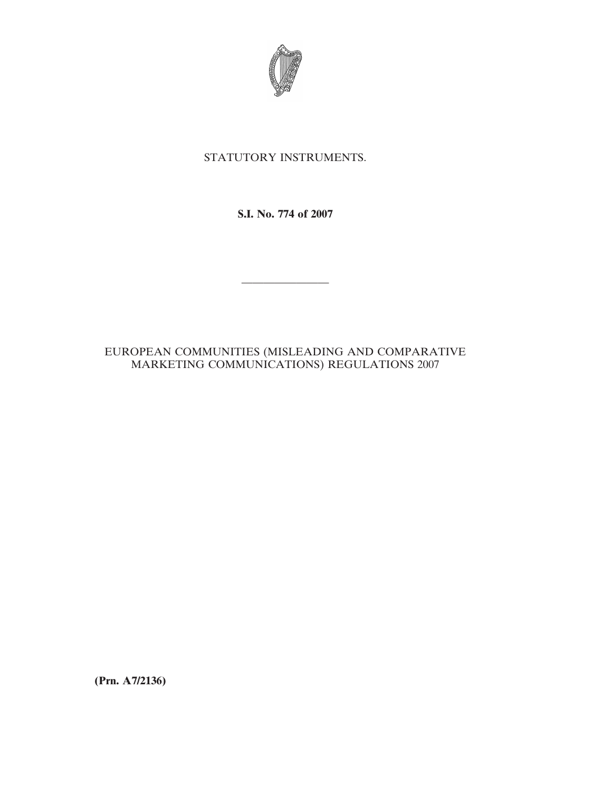

# STATUTORY INSTRUMENTS.

**S.I. No. 774 of 2007**

————————

## EUROPEAN COMMUNITIES (MISLEADING AND COMPARATIVE MARKETING COMMUNICATIONS) REGULATIONS 2007

**(Prn. A7/2136)**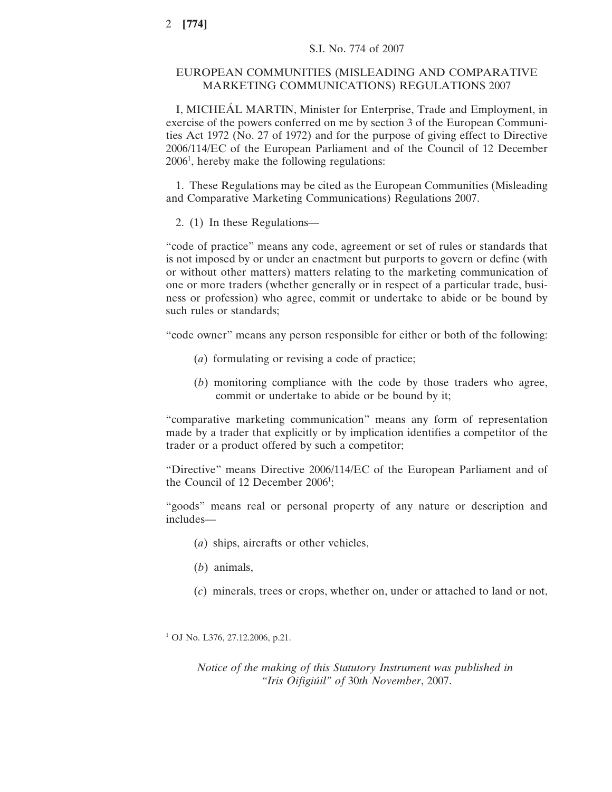## EUROPEAN COMMUNITIES (MISLEADING AND COMPARATIVE MARKETING COMMUNICATIONS) REGULATIONS 2007

I, MICHEÁL MARTIN, Minister for Enterprise, Trade and Employment, in exercise of the powers conferred on me by section 3 of the European Communities Act 1972 (No. 27 of 1972) and for the purpose of giving effect to Directive 2006/114/EC of the European Parliament and of the Council of 12 December 20061 , hereby make the following regulations:

1. These Regulations may be cited as the European Communities (Misleading and Comparative Marketing Communications) Regulations 2007.

2. (1) In these Regulations—

"code of practice" means any code, agreement or set of rules or standards that is not imposed by or under an enactment but purports to govern or define (with or without other matters) matters relating to the marketing communication of one or more traders (whether generally or in respect of a particular trade, business or profession) who agree, commit or undertake to abide or be bound by such rules or standards;

"code owner" means any person responsible for either or both of the following:

- (*a*) formulating or revising a code of practice;
- (*b*) monitoring compliance with the code by those traders who agree, commit or undertake to abide or be bound by it;

"comparative marketing communication" means any form of representation made by a trader that explicitly or by implication identifies a competitor of the trader or a product offered by such a competitor;

"Directive" means Directive 2006/114/EC of the European Parliament and of the Council of 12 December 2006<sup>1</sup>;

"goods" means real or personal property of any nature or description and includes—

- (*a*) ships, aircrafts or other vehicles,
- (*b*) animals,
- (*c*) minerals, trees or crops, whether on, under or attached to land or not,

<sup>1</sup> OJ No. L376, 27.12.2006, p.21.

*Notice of the making of this Statutory Instrument was published in "Iris Oifigiu´il" of* 30*th November*, 2007.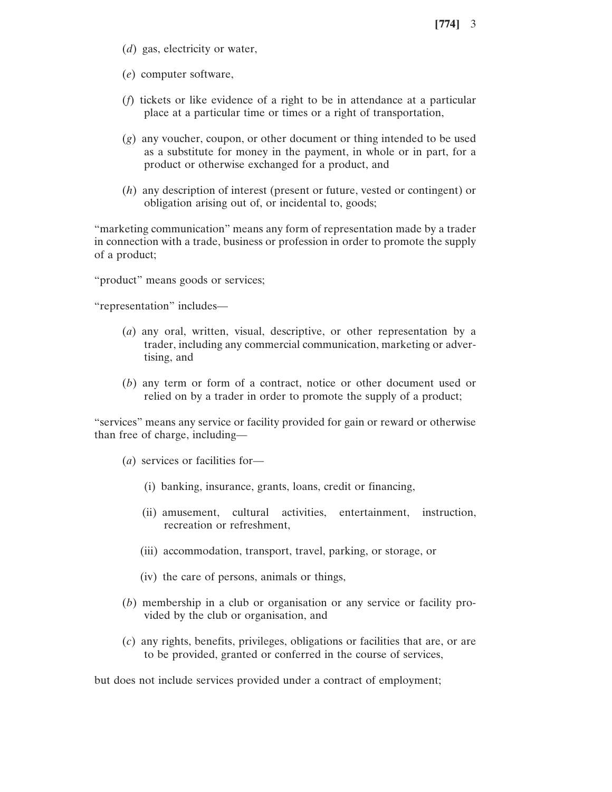- (*d*) gas, electricity or water,
- (*e*) computer software,
- (*f*) tickets or like evidence of a right to be in attendance at a particular place at a particular time or times or a right of transportation,
- (*g*) any voucher, coupon, or other document or thing intended to be used as a substitute for money in the payment, in whole or in part, for a product or otherwise exchanged for a product, and
- (*h*) any description of interest (present or future, vested or contingent) or obligation arising out of, or incidental to, goods;

"marketing communication" means any form of representation made by a trader in connection with a trade, business or profession in order to promote the supply of a product;

"product" means goods or services;

"representation" includes—

- (*a*) any oral, written, visual, descriptive, or other representation by a trader, including any commercial communication, marketing or advertising, and
- (*b*) any term or form of a contract, notice or other document used or relied on by a trader in order to promote the supply of a product;

"services" means any service or facility provided for gain or reward or otherwise than free of charge, including—

- (*a*) services or facilities for—
	- (i) banking, insurance, grants, loans, credit or financing,
	- (ii) amusement, cultural activities, entertainment, instruction, recreation or refreshment,
	- (iii) accommodation, transport, travel, parking, or storage, or
	- (iv) the care of persons, animals or things,
- (*b*) membership in a club or organisation or any service or facility provided by the club or organisation, and
- (*c*) any rights, benefits, privileges, obligations or facilities that are, or are to be provided, granted or conferred in the course of services,

but does not include services provided under a contract of employment;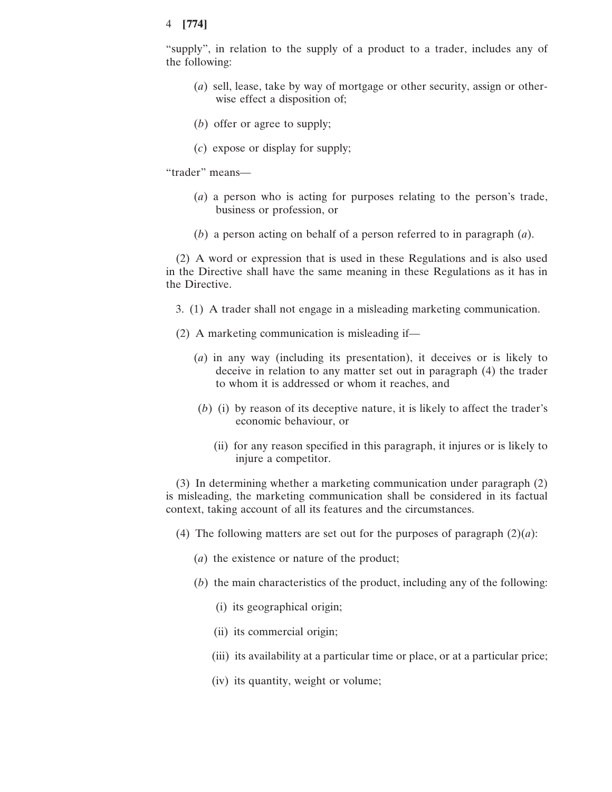"supply", in relation to the supply of a product to a trader, includes any of the following:

- (*a*) sell, lease, take by way of mortgage or other security, assign or otherwise effect a disposition of;
- (*b*) offer or agree to supply;
- (*c*) expose or display for supply;

"trader" means—

- (*a*) a person who is acting for purposes relating to the person's trade, business or profession, or
- (*b*) a person acting on behalf of a person referred to in paragraph (*a*).

(2) A word or expression that is used in these Regulations and is also used in the Directive shall have the same meaning in these Regulations as it has in the Directive.

- 3. (1) A trader shall not engage in a misleading marketing communication.
- (2) A marketing communication is misleading if—
	- (*a*) in any way (including its presentation), it deceives or is likely to deceive in relation to any matter set out in paragraph (4) the trader to whom it is addressed or whom it reaches, and
	- (*b*) (i) by reason of its deceptive nature, it is likely to affect the trader's economic behaviour, or
		- (ii) for any reason specified in this paragraph, it injures or is likely to injure a competitor.

(3) In determining whether a marketing communication under paragraph (2) is misleading, the marketing communication shall be considered in its factual context, taking account of all its features and the circumstances.

- (4) The following matters are set out for the purposes of paragraph  $(2)(a)$ :
	- (*a*) the existence or nature of the product;
	- (*b*) the main characteristics of the product, including any of the following:
		- (i) its geographical origin;
		- (ii) its commercial origin;
		- (iii) its availability at a particular time or place, or at a particular price;
		- (iv) its quantity, weight or volume;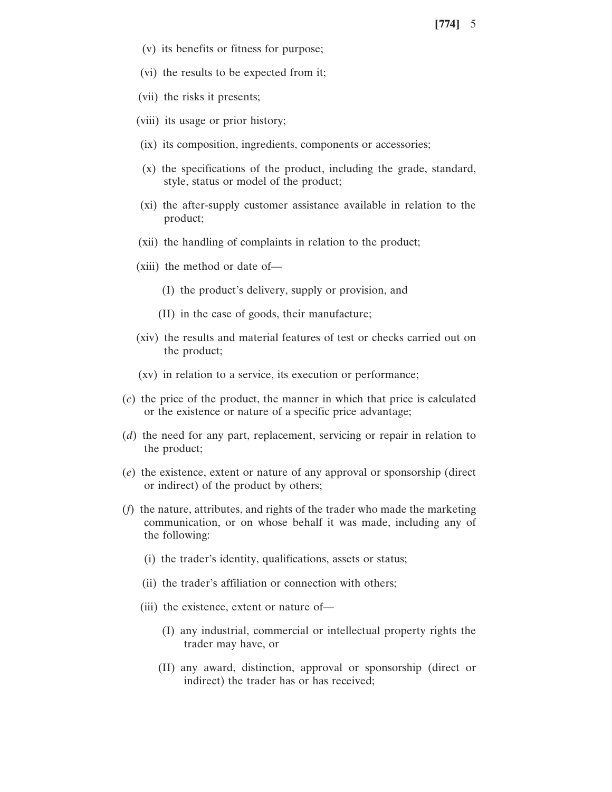- (v) its benefits or fitness for purpose;
- (vi) the results to be expected from it;
- (vii) the risks it presents;
- (viii) its usage or prior history;
- (ix) its composition, ingredients, components or accessories;
- (x) the specifications of the product, including the grade, standard, style, status or model of the product;
- (xi) the after-supply customer assistance available in relation to the product;
- (xii) the handling of complaints in relation to the product;
- (xiii) the method or date of—
	- (I) the product's delivery, supply or provision, and
	- (II) in the case of goods, their manufacture;
- (xiv) the results and material features of test or checks carried out on the product;
- (xv) in relation to a service, its execution or performance;
- (*c*) the price of the product, the manner in which that price is calculated or the existence or nature of a specific price advantage;
- (*d*) the need for any part, replacement, servicing or repair in relation to the product;
- (*e*) the existence, extent or nature of any approval or sponsorship (direct or indirect) of the product by others;
- (*f*) the nature, attributes, and rights of the trader who made the marketing communication, or on whose behalf it was made, including any of the following:
	- (i) the trader's identity, qualifications, assets or status;
	- (ii) the trader's affiliation or connection with others;
	- (iii) the existence, extent or nature of—
		- (I) any industrial, commercial or intellectual property rights the trader may have, or
		- (II) any award, distinction, approval or sponsorship (direct or indirect) the trader has or has received;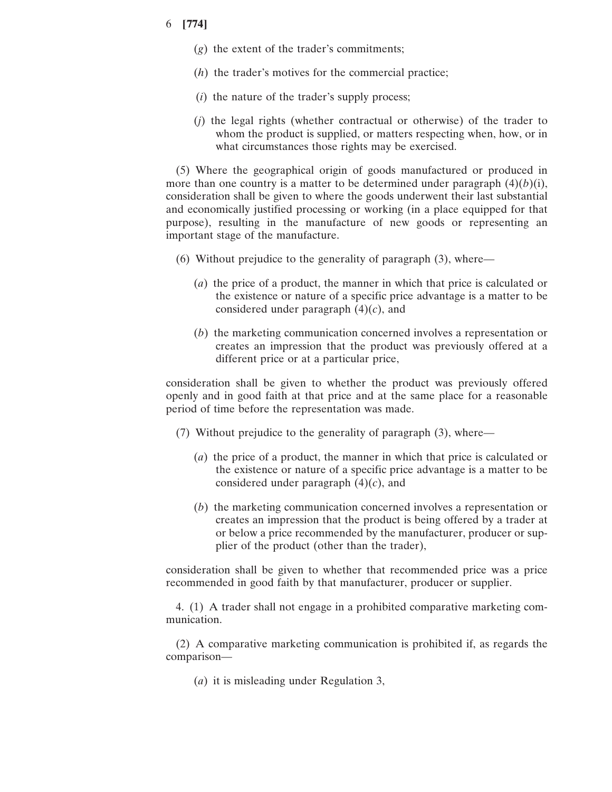- (*g*) the extent of the trader's commitments;
- (*h*) the trader's motives for the commercial practice;
- (*i*) the nature of the trader's supply process;
- (*j*) the legal rights (whether contractual or otherwise) of the trader to whom the product is supplied, or matters respecting when, how, or in what circumstances those rights may be exercised.

(5) Where the geographical origin of goods manufactured or produced in more than one country is a matter to be determined under paragraph  $(4)(b)(i)$ , consideration shall be given to where the goods underwent their last substantial and economically justified processing or working (in a place equipped for that purpose), resulting in the manufacture of new goods or representing an important stage of the manufacture.

- (6) Without prejudice to the generality of paragraph (3), where—
	- (*a*) the price of a product, the manner in which that price is calculated or the existence or nature of a specific price advantage is a matter to be considered under paragraph (4)(*c*), and
	- (*b*) the marketing communication concerned involves a representation or creates an impression that the product was previously offered at a different price or at a particular price,

consideration shall be given to whether the product was previously offered openly and in good faith at that price and at the same place for a reasonable period of time before the representation was made.

- (7) Without prejudice to the generality of paragraph (3), where—
	- (*a*) the price of a product, the manner in which that price is calculated or the existence or nature of a specific price advantage is a matter to be considered under paragraph (4)(*c*), and
	- (*b*) the marketing communication concerned involves a representation or creates an impression that the product is being offered by a trader at or below a price recommended by the manufacturer, producer or supplier of the product (other than the trader),

consideration shall be given to whether that recommended price was a price recommended in good faith by that manufacturer, producer or supplier.

4. (1) A trader shall not engage in a prohibited comparative marketing communication.

(2) A comparative marketing communication is prohibited if, as regards the comparison—

(*a*) it is misleading under Regulation 3,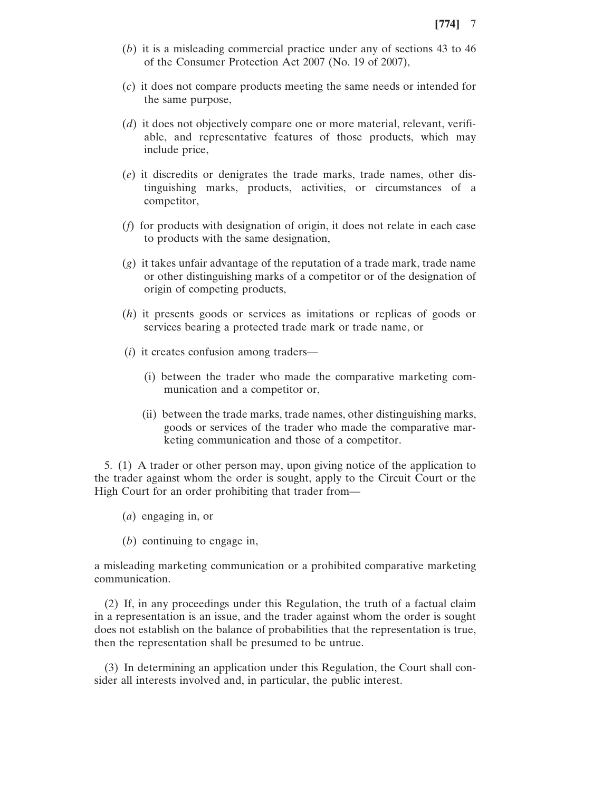- (*b*) it is a misleading commercial practice under any of sections 43 to 46 of the Consumer Protection Act 2007 (No. 19 of 2007),
- (*c*) it does not compare products meeting the same needs or intended for the same purpose,
- (*d*) it does not objectively compare one or more material, relevant, verifiable, and representative features of those products, which may include price,
- (*e*) it discredits or denigrates the trade marks, trade names, other distinguishing marks, products, activities, or circumstances of a competitor,
- (*f*) for products with designation of origin, it does not relate in each case to products with the same designation,
- (*g*) it takes unfair advantage of the reputation of a trade mark, trade name or other distinguishing marks of a competitor or of the designation of origin of competing products,
- (*h*) it presents goods or services as imitations or replicas of goods or services bearing a protected trade mark or trade name, or
- (*i*) it creates confusion among traders—
	- (i) between the trader who made the comparative marketing communication and a competitor or,
	- (ii) between the trade marks, trade names, other distinguishing marks, goods or services of the trader who made the comparative marketing communication and those of a competitor.

5. (1) A trader or other person may, upon giving notice of the application to the trader against whom the order is sought, apply to the Circuit Court or the High Court for an order prohibiting that trader from—

- (*a*) engaging in, or
- (*b*) continuing to engage in,

a misleading marketing communication or a prohibited comparative marketing communication.

(2) If, in any proceedings under this Regulation, the truth of a factual claim in a representation is an issue, and the trader against whom the order is sought does not establish on the balance of probabilities that the representation is true, then the representation shall be presumed to be untrue.

(3) In determining an application under this Regulation, the Court shall consider all interests involved and, in particular, the public interest.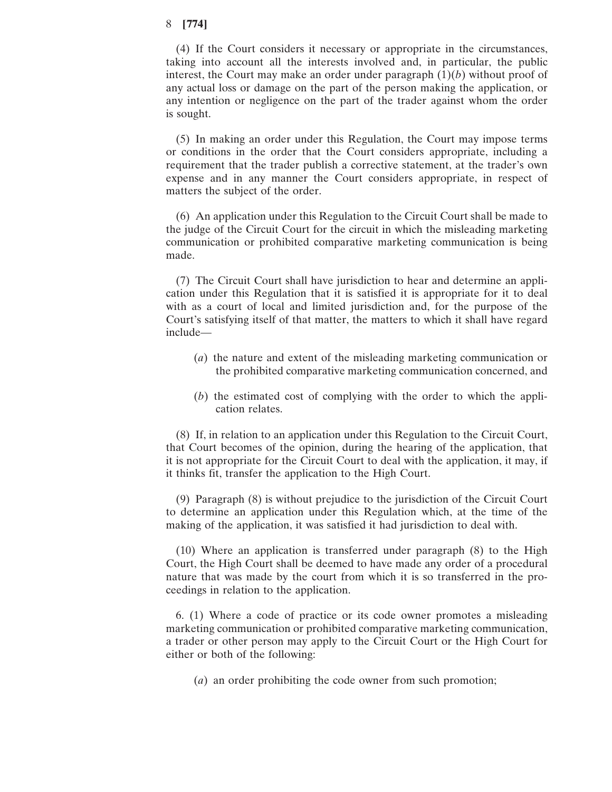(4) If the Court considers it necessary or appropriate in the circumstances, taking into account all the interests involved and, in particular, the public interest, the Court may make an order under paragraph  $(1)(b)$  without proof of any actual loss or damage on the part of the person making the application, or any intention or negligence on the part of the trader against whom the order is sought.

(5) In making an order under this Regulation, the Court may impose terms or conditions in the order that the Court considers appropriate, including a requirement that the trader publish a corrective statement, at the trader's own expense and in any manner the Court considers appropriate, in respect of matters the subject of the order.

(6) An application under this Regulation to the Circuit Court shall be made to the judge of the Circuit Court for the circuit in which the misleading marketing communication or prohibited comparative marketing communication is being made.

(7) The Circuit Court shall have jurisdiction to hear and determine an application under this Regulation that it is satisfied it is appropriate for it to deal with as a court of local and limited jurisdiction and, for the purpose of the Court's satisfying itself of that matter, the matters to which it shall have regard include—

- (*a*) the nature and extent of the misleading marketing communication or the prohibited comparative marketing communication concerned, and
- (*b*) the estimated cost of complying with the order to which the application relates.

(8) If, in relation to an application under this Regulation to the Circuit Court, that Court becomes of the opinion, during the hearing of the application, that it is not appropriate for the Circuit Court to deal with the application, it may, if it thinks fit, transfer the application to the High Court.

(9) Paragraph (8) is without prejudice to the jurisdiction of the Circuit Court to determine an application under this Regulation which, at the time of the making of the application, it was satisfied it had jurisdiction to deal with.

(10) Where an application is transferred under paragraph (8) to the High Court, the High Court shall be deemed to have made any order of a procedural nature that was made by the court from which it is so transferred in the proceedings in relation to the application.

6. (1) Where a code of practice or its code owner promotes a misleading marketing communication or prohibited comparative marketing communication, a trader or other person may apply to the Circuit Court or the High Court for either or both of the following:

(*a*) an order prohibiting the code owner from such promotion;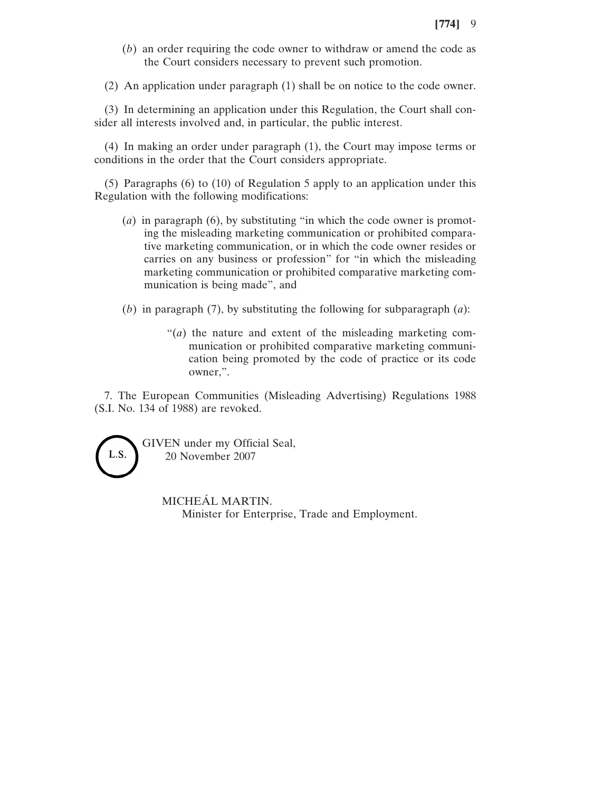(*b*) an order requiring the code owner to withdraw or amend the code as the Court considers necessary to prevent such promotion.

(2) An application under paragraph (1) shall be on notice to the code owner.

(3) In determining an application under this Regulation, the Court shall consider all interests involved and, in particular, the public interest.

(4) In making an order under paragraph (1), the Court may impose terms or conditions in the order that the Court considers appropriate.

(5) Paragraphs (6) to (10) of Regulation 5 apply to an application under this Regulation with the following modifications:

- (*a*) in paragraph (6), by substituting "in which the code owner is promoting the misleading marketing communication or prohibited comparative marketing communication, or in which the code owner resides or carries on any business or profession" for "in which the misleading marketing communication or prohibited comparative marketing communication is being made", and
- (*b*) in paragraph (7), by substituting the following for subparagraph (*a*):
	- "(*a*) the nature and extent of the misleading marketing communication or prohibited comparative marketing communication being promoted by the code of practice or its code owner,".

7. The European Communities (Misleading Advertising) Regulations 1988 (S.I. No. 134 of 1988) are revoked.



GIVEN under my Official Seal, 20 November 2007

> MICHEÁL MARTIN. Minister for Enterprise, Trade and Employment.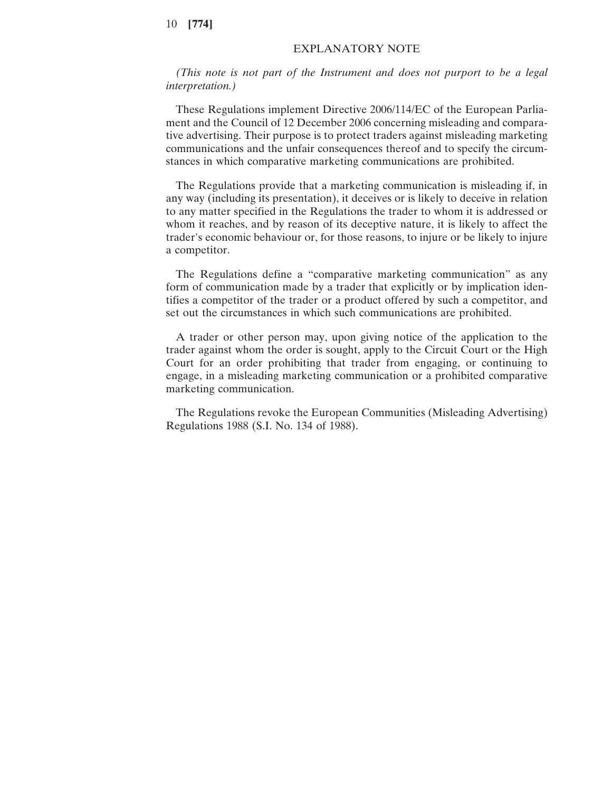## EXPLANATORY NOTE

*(This note is not part of the Instrument and does not purport to be a legal interpretation.)*

These Regulations implement Directive 2006/114/EC of the European Parliament and the Council of 12 December 2006 concerning misleading and comparative advertising. Their purpose is to protect traders against misleading marketing communications and the unfair consequences thereof and to specify the circumstances in which comparative marketing communications are prohibited.

The Regulations provide that a marketing communication is misleading if, in any way (including its presentation), it deceives or is likely to deceive in relation to any matter specified in the Regulations the trader to whom it is addressed or whom it reaches, and by reason of its deceptive nature, it is likely to affect the trader's economic behaviour or, for those reasons, to injure or be likely to injure a competitor.

The Regulations define a "comparative marketing communication" as any form of communication made by a trader that explicitly or by implication identifies a competitor of the trader or a product offered by such a competitor, and set out the circumstances in which such communications are prohibited.

A trader or other person may, upon giving notice of the application to the trader against whom the order is sought, apply to the Circuit Court or the High Court for an order prohibiting that trader from engaging, or continuing to engage, in a misleading marketing communication or a prohibited comparative marketing communication.

The Regulations revoke the European Communities (Misleading Advertising) Regulations 1988 (S.I. No. 134 of 1988).